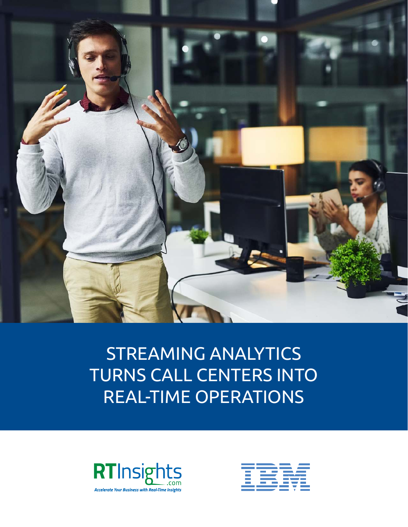

# STREAMING ANALYTICS TURNS CALL CENTERS INTO REAL-TIME OPERATIONS



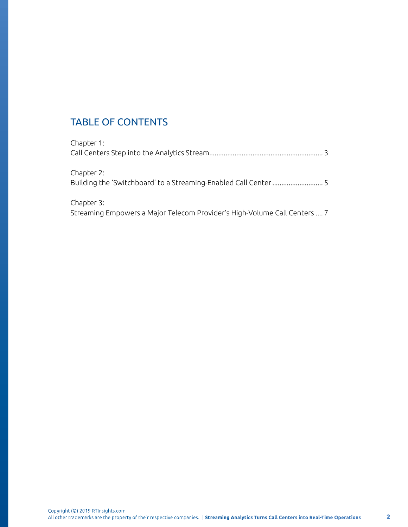### TABLE OF CONTENTS

| Chapter 1:                                                                |
|---------------------------------------------------------------------------|
|                                                                           |
| Chapter 2:                                                                |
| Chapter 3:                                                                |
| Streaming Empowers a Major Telecom Provider's High-Volume Call Centers  7 |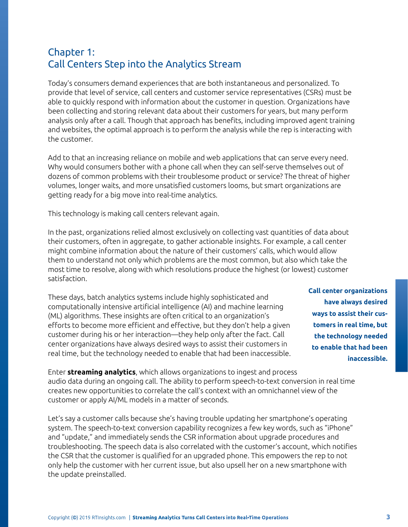## Chapter 1: Call Centers Step into the Analytics Stream

Today's consumers demand experiences that are both instantaneous and personalized. To provide that level of service, call centers and customer service representatives (CSRs) must be able to quickly respond with information about the customer in question. Organizations have been collecting and storing relevant data about their customers for years, but many perform analysis only after a call. Though that approach has benefits, including improved agent training and websites, the optimal approach is to perform the analysis while the rep is interacting with the customer.

Add to that an increasing reliance on mobile and web applications that can serve every need. Why would consumers bother with a phone call when they can self-serve themselves out of dozens of common problems with their troublesome product or service? The threat of higher volumes, longer waits, and more unsatisfied customers looms, but smart organizations are getting ready for a big move into real-time analytics.

This technology is making call centers relevant again.

In the past, organizations relied almost exclusively on collecting vast quantities of data about their customers, often in aggregate, to gather actionable insights. For example, a call center might combine information about the nature of their customers' calls, which would allow them to understand not only which problems are the most common, but also which take the most time to resolve, along with which resolutions produce the highest (or lowest) customer satisfaction.

These days, batch analytics systems include highly sophisticated and computationally intensive artificial intelligence (AI) and machine learning (ML) algorithms. These insights are often critical to an organization's efforts to become more efficient and effective, but they don't help a given customer during his or her interaction—they help only after the fact. Call center organizations have always desired ways to assist their customers in real time, but the technology needed to enable that had been inaccessible. **Call center organizations have always desired ways to assist their customers in real time, but the technology needed to enable that had been inaccessible.**

Enter **streaming analytics**, which allows organizations to ingest and process audio data during an ongoing call. The ability to perform speech-to-text conversion in real time creates new opportunities to correlate the call's context with an omnichannel view of the customer or apply AI/ML models in a matter of seconds.

Let's say a customer calls because she's having trouble updating her smartphone's operating system. The speech-to-text conversion capability recognizes a few key words, such as "iPhone" and "update," and immediately sends the CSR information about upgrade procedures and troubleshooting. The speech data is also correlated with the customer's account, which notifies the CSR that the customer is qualified for an upgraded phone. This empowers the rep to not only help the customer with her current issue, but also upsell her on a new smartphone with the update preinstalled.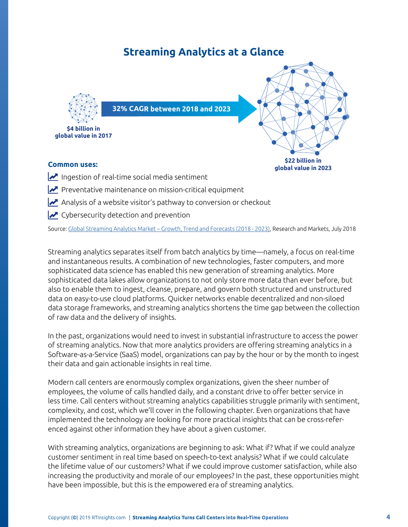# **Streaming Analytics at a Glance**



- Preventative maintenance on mission-critical equipment
- Analysis of a website visitor's pathway to conversion or checkout
- $\triangleright$  Cybersecurity detection and prevention

Source: [Global Streaming Analytics Market – Growth, Trend and Forecasts \(2018 - 2023\),](https://www.researchandmarkets.com/research/kn4bsz/global_streaming) Research and Markets, July 2018

Streaming analytics separates itself from batch analytics by time—namely, a focus on real-time and instantaneous results. A combination of new technologies, faster computers, and more sophisticated data science has enabled this new generation of streaming analytics. More sophisticated data lakes allow organizations to not only store more data than ever before, but also to enable them to ingest, cleanse, prepare, and govern both structured and unstructured data on easy-to-use cloud platforms. Quicker networks enable decentralized and non-siloed data storage frameworks, and streaming analytics shortens the time gap between the collection of raw data and the delivery of insights.

In the past, organizations would need to invest in substantial infrastructure to access the power of streaming analytics. Now that more analytics providers are offering streaming analytics in a Software-as-a-Service (SaaS) model, organizations can pay by the hour or by the month to ingest their data and gain actionable insights in real time.

Modern call centers are enormously complex organizations, given the sheer number of employees, the volume of calls handled daily, and a constant drive to offer better service in less time. Call centers without streaming analytics capabilities struggle primarily with sentiment, complexity, and cost, which we'll cover in the following chapter. Even organizations that have implemented the technology are looking for more practical insights that can be cross-referenced against other information they have about a given customer.

With streaming analytics, organizations are beginning to ask: What if? What if we could analyze customer sentiment in real time based on speech-to-text analysis? What if we could calculate the lifetime value of our customers? What if we could improve customer satisfaction, while also increasing the productivity and morale of our employees? In the past, these opportunities might have been impossible, but this is the empowered era of streaming analytics.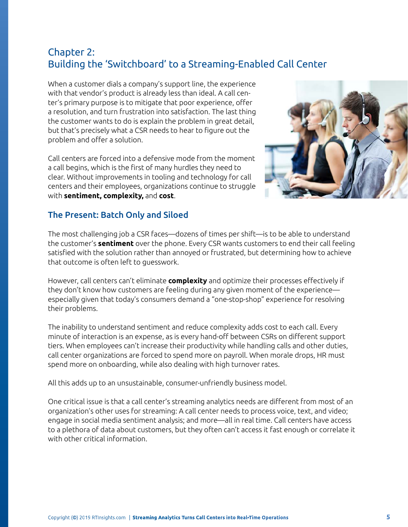## Chapter 2: Building the 'Switchboard' to a Streaming-Enabled Call Center

When a customer dials a company's support line, the experience with that vendor's product is already less than ideal. A call center's primary purpose is to mitigate that poor experience, offer a resolution, and turn frustration into satisfaction. The last thing the customer wants to do is explain the problem in great detail, but that's precisely what a CSR needs to hear to figure out the problem and offer a solution.

Call centers are forced into a defensive mode from the moment a call begins, which is the first of many hurdles they need to clear. Without improvements in tooling and technology for call centers and their employees, organizations continue to struggle with **sentiment, complexity,** and **cost**.



#### The Present: Batch Only and Siloed

The most challenging job a CSR faces—dozens of times per shift—is to be able to understand the customer's **sentiment** over the phone. Every CSR wants customers to end their call feeling satisfied with the solution rather than annoyed or frustrated, but determining how to achieve that outcome is often left to guesswork.

However, call centers can't eliminate **complexity** and optimize their processes effectively if they don't know how customers are feeling during any given moment of the experience especially given that today's consumers demand a "one-stop-shop" experience for resolving their problems.

The inability to understand sentiment and reduce complexity adds cost to each call. Every minute of interaction is an expense, as is every hand-off between CSRs on different support tiers. When employees can't increase their productivity while handling calls and other duties, call center organizations are forced to spend more on payroll. When morale drops, HR must spend more on onboarding, while also dealing with high turnover rates.

All this adds up to an unsustainable, consumer-unfriendly business model.

One critical issue is that a call center's streaming analytics needs are different from most of an organization's other uses for streaming: A call center needs to process voice, text, and video; engage in social media sentiment analysis; and more—all in real time. Call centers have access to a plethora of data about customers, but they often can't access it fast enough or correlate it with other critical information.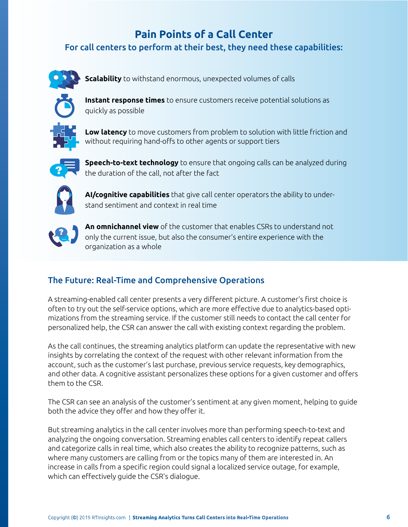# **Pain Points of a Call Center**

#### For call centers to perform at their best, they need these capabilities:



**Scalability** to withstand enormous, unexpected volumes of calls



**Instant response times** to ensure customers receive potential solutions as quickly as possible

**Low latency** to move customers from problem to solution with little friction and without requiring hand-offs to other agents or support tiers



**Speech-to-text technology** to ensure that ongoing calls can be analyzed during the duration of the call, not after the fact



**AI/cognitive capabilities** that give call center operators the ability to understand sentiment and context in real time



**An omnichannel view** of the customer that enables CSRs to understand not only the current issue, but also the consumer's entire experience with the organization as a whole

#### The Future: Real-Time and Comprehensive Operations

A streaming-enabled call center presents a very different picture. A customer's first choice is often to try out the self-service options, which are more effective due to analytics-based optimizations from the streaming service. If the customer still needs to contact the call center for personalized help, the CSR can answer the call with existing context regarding the problem.

As the call continues, the streaming analytics platform can update the representative with new insights by correlating the context of the request with other relevant information from the account, such as the customer's last purchase, previous service requests, key demographics, and other data. A cognitive assistant personalizes these options for a given customer and offers them to the CSR.

The CSR can see an analysis of the customer's sentiment at any given moment, helping to guide both the advice they offer and how they offer it.

But streaming analytics in the call center involves more than performing speech-to-text and analyzing the ongoing conversation. Streaming enables call centers to identify repeat callers and categorize calls in real time, which also creates the ability to recognize patterns, such as where many customers are calling from or the topics many of them are interested in. An increase in calls from a specific region could signal a localized service outage, for example, which can effectively guide the CSR's dialogue.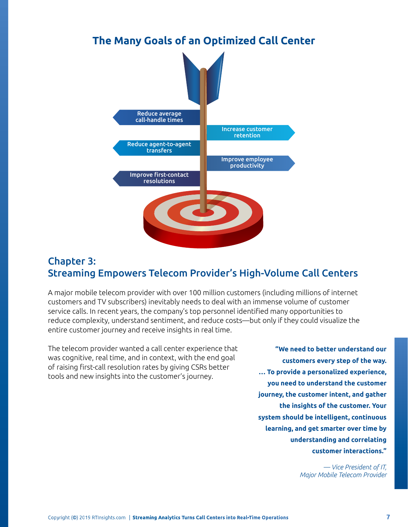# **The Many Goals of an Optimized Call Center**



## Chapter 3: Streaming Empowers Telecom Provider's High-Volume Call Centers

A major mobile telecom provider with over 100 million customers (including millions of internet customers and TV subscribers) inevitably needs to deal with an immense volume of customer service calls. In recent years, the company's top personnel identified many opportunities to reduce complexity, understand sentiment, and reduce costs—but only if they could visualize the entire customer journey and receive insights in real time.

The telecom provider wanted a call center experience that was cognitive, real time, and in context, with the end goal of raising first-call resolution rates by giving CSRs better tools and new insights into the customer's journey.

**"We need to better understand our customers every step of the way. … To provide a personalized experience, you need to understand the customer journey, the customer intent, and gather the insights of the customer. Your system should be intelligent, continuous learning, and get smarter over time by understanding and correlating customer interactions."**

> *— Vice President of IT, Major Mobile Telecom Provider*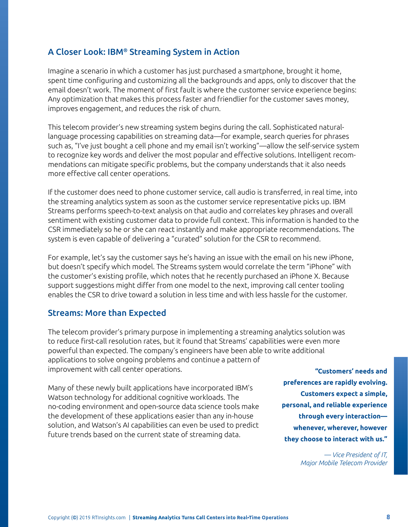#### A Closer Look: IBM® Streaming System in Action

Imagine a scenario in which a customer has just purchased a smartphone, brought it home, spent time configuring and customizing all the backgrounds and apps, only to discover that the email doesn't work. The moment of first fault is where the customer service experience begins: Any optimization that makes this process faster and friendlier for the customer saves money, improves engagement, and reduces the risk of churn.

This telecom provider's new streaming system begins during the call. Sophisticated naturallanguage processing capabilities on streaming data—for example, search queries for phrases such as, "I've just bought a cell phone and my email isn't working"—allow the self-service system to recognize key words and deliver the most popular and effective solutions. Intelligent recommendations can mitigate specific problems, but the company understands that it also needs more effective call center operations.

If the customer does need to phone customer service, call audio is transferred, in real time, into the streaming analytics system as soon as the customer service representative picks up. IBM Streams performs speech-to-text analysis on that audio and correlates key phrases and overall sentiment with existing customer data to provide full context. This information is handed to the CSR immediately so he or she can react instantly and make appropriate recommendations. The system is even capable of delivering a "curated" solution for the CSR to recommend.

For example, let's say the customer says he's having an issue with the email on his new iPhone, but doesn't specify which model. The Streams system would correlate the term "iPhone" with the customer's existing profile, which notes that he recently purchased an iPhone X. Because support suggestions might differ from one model to the next, improving call center tooling enables the CSR to drive toward a solution in less time and with less hassle for the customer.

#### Streams: More than Expected

The telecom provider's primary purpose in implementing a streaming analytics solution was to reduce first-call resolution rates, but it found that Streams' capabilities were even more powerful than expected. The company's engineers have been able to write additional applications to solve ongoing problems and continue a pattern of improvement with call center operations.

Many of these newly built applications have incorporated IBM's Watson technology for additional cognitive workloads. The no-coding environment and open-source data science tools make the development of these applications easier than any in-house solution, and Watson's AI capabilities can even be used to predict future trends based on the current state of streaming data.

**"Customers' needs and preferences are rapidly evolving. Customers expect a simple, personal, and reliable experience through every interaction whenever, wherever, however they choose to interact with us."**

> *— Vice President of IT, Major Mobile Telecom Provider*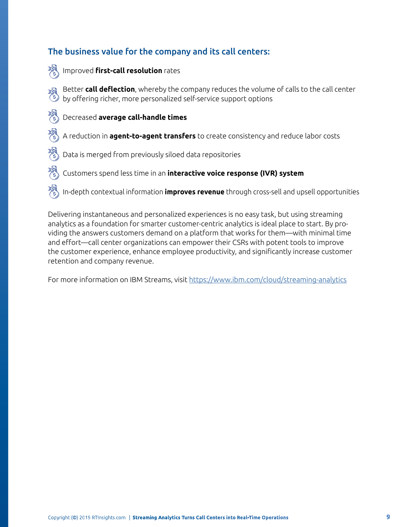#### The business value for the company and its call centers:



Delivering instantaneous and personalized experiences is no easy task, but using streaming analytics as a foundation for smarter customer-centric analytics is ideal place to start. By providing the answers customers demand on a platform that works for them—with minimal time and effort—call center organizations can empower their CSRs with potent tools to improve the customer experience, enhance employee productivity, and significantly increase customer retention and company revenue.

For more information on IBM Streams, visit <https://www.ibm.com/cloud/streaming-analytics>